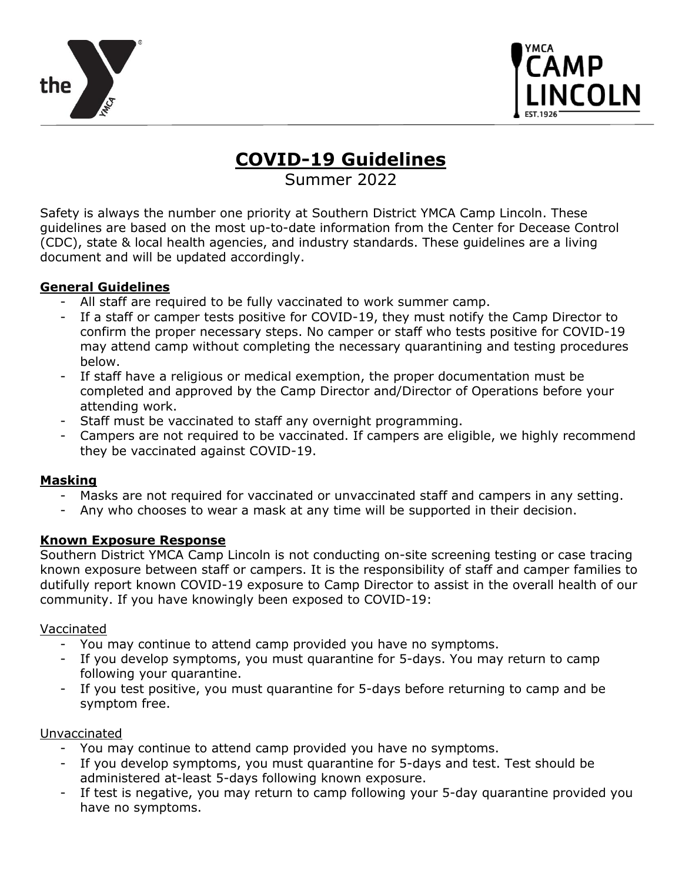



# **COVID-19 Guidelines**

Summer 2022

Safety is always the number one priority at Southern District YMCA Camp Lincoln. These guidelines are based on the most up-to-date information from the Center for Decease Control (CDC), state & local health agencies, and industry standards. These guidelines are a living document and will be updated accordingly.

### **General Guidelines**

- All staff are required to be fully vaccinated to work summer camp.
- If a staff or camper tests positive for COVID-19, they must notify the Camp Director to confirm the proper necessary steps. No camper or staff who tests positive for COVID-19 may attend camp without completing the necessary quarantining and testing procedures below.
- If staff have a religious or medical exemption, the proper documentation must be completed and approved by the Camp Director and/Director of Operations before your attending work.
- Staff must be vaccinated to staff any overnight programming.
- Campers are not required to be vaccinated. If campers are eligible, we highly recommend they be vaccinated against COVID-19.

## **Masking**

- Masks are not required for vaccinated or unvaccinated staff and campers in any setting.
- Any who chooses to wear a mask at any time will be supported in their decision.

### **Known Exposure Response**

Southern District YMCA Camp Lincoln is not conducting on-site screening testing or case tracing known exposure between staff or campers. It is the responsibility of staff and camper families to dutifully report known COVID-19 exposure to Camp Director to assist in the overall health of our community. If you have knowingly been exposed to COVID-19:

### Vaccinated

- You may continue to attend camp provided you have no symptoms.
- If you develop symptoms, you must quarantine for 5-days. You may return to camp following your quarantine.
- If you test positive, you must quarantine for 5-days before returning to camp and be symptom free.

### Unvaccinated

- You may continue to attend camp provided you have no symptoms.
- If you develop symptoms, you must quarantine for 5-days and test. Test should be administered at-least 5-days following known exposure.
- If test is negative, you may return to camp following your 5-day quarantine provided you have no symptoms.